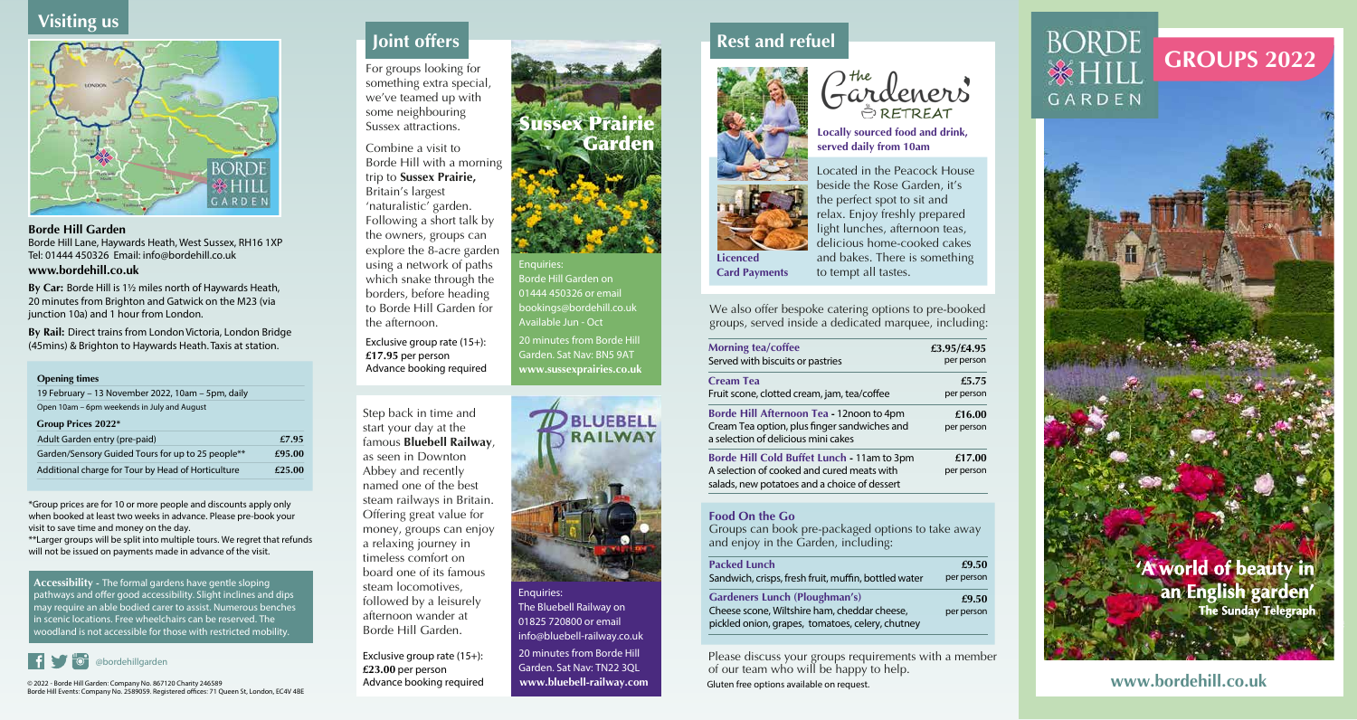# **Visiting us**



#### **Borde Hill Garden** Borde Hill Lane, Haywards Heath, West Sussex, RH16 1XP Tel: 01444 450326 Email: info@bordehill.co.uk

#### **www.bordehill.co.uk**

**By Car:** Borde Hill is 1½ miles north of Haywards Heath, 20 minutes from Brighton and Gatwick on the M23 (via junction 10a) and 1 hour from London.

**By Rail:** Direct trains from London Victoria, London Bridge (45mins) & Brighton to Haywards Heath. Taxis at station.

#### **Opening times**

| 19 February - 13 November 2022, 10am - 5pm, daily             |        |
|---------------------------------------------------------------|--------|
| Open 10am – 6pm weekends in July and August                   |        |
| Group Prices 2022*                                            |        |
| Adult Garden entry (pre-paid)                                 | £7.95  |
| Garden/Sensory Guided Tours for up to 25 people <sup>**</sup> | £95.00 |
| Additional charge for Tour by Head of Horticulture            | £25.00 |

\*Group prices are for 10 or more people and discounts apply only when booked at least two weeks in advance. Please pre-book your visit to save time and money on the day.

\*\*Larger groups will be split into multiple tours. We regret that refunds will not be issued on payments made in advance of the visit.

**Accessibility -** The formal gardens have gentle sloping pathways and offer good accessibility. Slight inclines and dips may require an able bodied carer to assist. Numerous benches in scenic locations. Free wheelchairs can be reserved. The woodland is not accessible for those with restricted mobility.



© 2022 - Borde Hill Garden: Company No. 867120 Charity 246589 Borde Hill Events: Company No. 2589059. Registered oces: 71 Queen St, London, EC4V 4BE

# **Joint offers**

For groups looking for something extra special, we've teamed up with some neighbouring Sussex attractions.

Combine a visit to Borde Hill with a morning trip to **Sussex Prairie,** Britain's largest 'naturalistic' garden. Following a short talk by the owners, groups can explore the 8-acre garden

using a network of paths which snake through the borders, before heading to Borde Hill Garden for the afternoon.

Exclusive group rate (15+): **£17.95** per person Advance booking required



Exclusive group rate (15+): **£23.00** per person Advance booking required 20 minutes from Borde Hill Garden. Sat Nav: TN22 3QL **www.bluebell-railway.com**

### **Rest and refuel**



**Card Payments** 

Gardeners

**Locally sourced food and drink, served daily from 10am**

Located in the Peacock House beside the Rose Garden, it's the perfect spot to sit and relax. Enjoy freshly prepared light lunches, afternoon teas, delicious home-cooked cakes and bakes. There is something to tempt all tastes.

We also offer bespoke catering options to pre-booked groups, served inside a dedicated marquee, including:

| <b>Morning tea/coffee</b>                                                                                                                | £3.95/£4.95          |
|------------------------------------------------------------------------------------------------------------------------------------------|----------------------|
| Served with biscuits or pastries                                                                                                         | per person           |
| <b>Cream Tea</b>                                                                                                                         | £5.75                |
| Fruit scone, clotted cream, jam, tea/coffee                                                                                              | per person           |
| Borde Hill Afternoon Tea - 12noon to 4pm<br>Cream Tea option, plus finger sandwiches and<br>a selection of delicious mini cakes          | £16.00<br>per person |
| Borde Hill Cold Buffet Lunch - 11am to 3pm<br>A selection of cooked and cured meats with<br>salads, new potatoes and a choice of dessert | £17.00<br>per person |

#### **Food On the Go**

Groups can book pre-packaged options to take away and enjoy in the Garden, including:

| <b>Packed Lunch</b>                                  | £9.50      |
|------------------------------------------------------|------------|
| Sandwich, crisps, fresh fruit, muffin, bottled water | per person |

| <b>Gardeners Lunch (Ploughman's)</b>             | £9.50      |
|--------------------------------------------------|------------|
| Cheese scone, Wiltshire ham, cheddar cheese,     | per person |
| pickled onion, grapes, tomatoes, celery, chutney |            |

Please discuss your groups requirements with a member of our team who will be happy to help. Gluten free options available on request.

# **GROUPS 2022** GARDEN



**www.bordehill.co.uk**



Enquiries:

20 minutes from Borde Hill Garden. Sat Nav: BN5 9AT

Borde Hill Garden on 01444 450326 or email bookings@bordehill.co.uk Available Jun - Oct

Sussex Prairie

Garden

Enquiries: The Bluebell Railway on 01825 720800 or email info@bluebell-railway.co.uk